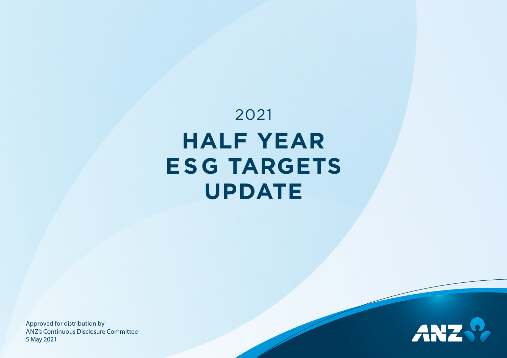# 2021 **HALF YEAR ESG TARGETS UPDATE**

Approved for distribution by A N Z's Continuous Disclosure Committee 5 May 2021

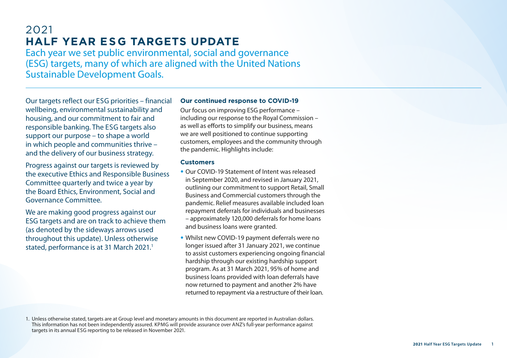# 2021 **HALF YEAR E SG TARGETS UPDATE**

Each year we set public environmental, social and governance (E SG) targets, many of which are aligned with the United Nations Sustainable Development Goals.

Our targets reflect our E SG priorities – financial wellbeing, environmental sustainability and housing, and our commitment to fair and responsible banking. The E SG targets also support our purpose – to shape a world in which people and communities thrive – and the delivery of our business strategy.

Progress against our targets is reviewed by the executive Ethics and Responsible Business Committee quarterly and twice a year by the Board Ethics, Environment, Social and Governance Committee.

We are making good progress against our<br>ESG targets and are on track to achieve them (as denoted by the sideways arrows used throughout this update). Unless otherwise stated, performance is at 31 March 2021. 1

## **Our continued response to COVID-19**

Our focus on improving ESG performance – including our response to the Royal Commission – as well as efforts to simplify our business, means we are well positioned to continue supporting customers, employees and the community through the pandemic. Highlights include:

#### **Customers**

- Our COVID-19 Statement of Intent was released in September 2020, and revised in January 2021, outlining our commitment to support Retail, Small Business and Commercial customers through the pandemic. Relief measures available included loan repayment deferrals for individuals and businesses – approximately 120,000 deferrals for home loans and business loans were granted.
- Whilst new COVID-19 payment deferrals were no longer issued after 31 January 2021, we continue to assist customers experiencing ongoing financial hardship through our existing hardship support program. As at 31 March 2021, 95% of home and business loans provided with loan deferrals have now returned to payment and another 2% have returned to repayment via a restructure of their loan.

<sup>1.</sup> Unless otherwise stated, targets are at Group level and monetary amounts in this document are reported in Australian dollars. This information has not been independently assured. KPMG will provide assurance over ANZ's full-year performance against targets in its annual E SG reporting to be released in November 2021.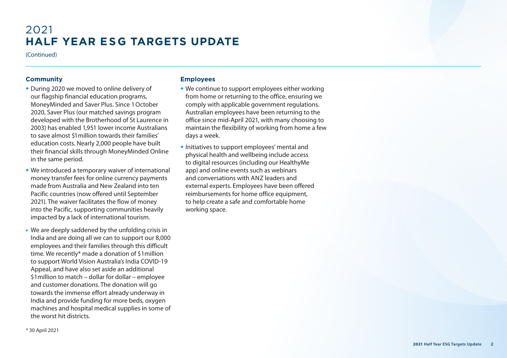# 2021 **HALF YEAR E SG TARGETS UPDATE**

(Continued)

### **Community**

- During 2020 we moved to online delivery of our flagship financial education programs, MoneyMinded and Saver Plus. Since 1 October 2020, Saver Plus (our matched savings program developed with the Brotherhood of St Laurence in 2003) has enabled 1,951 lower income Australians to save almost \$1 million towards their families' education costs. Nearly 2,000 people have built their financial skills through MoneyMinded Online in the same period.
- We introduced a temporary waiver of international money transfer fees for online currency payments made from Australia and New Zealand into ten Pacific countries (now offered until September 2021). The waiver facilitates the flow of money into the Pacific, supporting communities heavily impacted by a lack of international tourism.
- We are deeply saddened by the unfolding crisis in India and are doing all we can to support our 8,000 employees and their families through this difficult time. We recently\* made a donation of \$1million to support World Vision Australia's India COVID-19 Appeal, and have also set aside an additional \$1million to match – dollar for dollar – employee and customer donations. The donation will go towards the immense effort already underway in India and provide funding for more beds, oxygen machines and hospital medical supplies in some of the worst hit districts.

#### **Employees**

- We continue to support employees either working from home or returning to the office, ensuring we comply with applicable government regulations. Australian employees have been returning to the office since mid-April 2021, with many choosing to maintain the flexibility of working from home a few days a week.
- Initiatives to support employees' mental and physical health and wellbeing include access to digital resources (including our HealthyMe app) and online events such as webinars and conversations with A NZ leaders and external experts. Employees have been offered reimbursements for home office equipment, to help create a safe and comfortable home working space.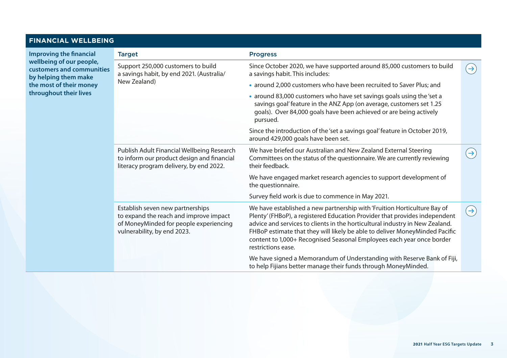# **FINANCIAL WELLBEING**

**Improving the financial wellbeing of our people, customers and communities by helping them make the most of their money throughout their lives**

| <b>Target</b>                                                                                                                                       | <b>Progress</b>                                                                                                                                                                                                                                                                                                                                                                                                      |                 |
|-----------------------------------------------------------------------------------------------------------------------------------------------------|----------------------------------------------------------------------------------------------------------------------------------------------------------------------------------------------------------------------------------------------------------------------------------------------------------------------------------------------------------------------------------------------------------------------|-----------------|
| Support 250,000 customers to build<br>a savings habit, by end 2021. (Australia/<br>New Zealand)                                                     | Since October 2020, we have supported around 85,000 customers to build<br>a savings habit. This includes:                                                                                                                                                                                                                                                                                                            | $\rightarrow)$  |
|                                                                                                                                                     | • around 2,000 customers who have been recruited to Saver Plus; and                                                                                                                                                                                                                                                                                                                                                  |                 |
|                                                                                                                                                     | • around 83,000 customers who have set savings goals using the 'set a<br>savings goal' feature in the ANZ App (on average, customers set 1.25<br>goals). Over 84,000 goals have been achieved or are being actively<br>pursued.                                                                                                                                                                                      |                 |
|                                                                                                                                                     | Since the introduction of the 'set a savings goal' feature in October 2019,<br>around 429,000 goals have been set.                                                                                                                                                                                                                                                                                                   |                 |
| Publish Adult Financial Wellbeing Research<br>to inform our product design and financial<br>literacy program delivery, by end 2022.                 | We have briefed our Australian and New Zealand External Steering<br>Committees on the status of the questionnaire. We are currently reviewing<br>their feedback.                                                                                                                                                                                                                                                     | $\rightarrow)$  |
|                                                                                                                                                     | We have engaged market research agencies to support development of<br>the questionnaire.                                                                                                                                                                                                                                                                                                                             |                 |
|                                                                                                                                                     | Survey field work is due to commence in May 2021.                                                                                                                                                                                                                                                                                                                                                                    |                 |
| Establish seven new partnerships<br>to expand the reach and improve impact<br>of MoneyMinded for people experiencing<br>vulnerability, by end 2023. | We have established a new partnership with 'Fruition Horticulture Bay of<br>Plenty' (FHBoP), a registered Education Provider that provides independent<br>advice and services to clients in the horticultural industry in New Zealand.<br>FHBoP estimate that they will likely be able to deliver MoneyMinded Pacific<br>content to 1,000+ Recognised Seasonal Employees each year once border<br>restrictions ease. | $(\rightarrow)$ |
|                                                                                                                                                     | We have signed a Memorandum of Understanding with Reserve Bank of Fiji,<br>to help Fijians better manage their funds through MoneyMinded.                                                                                                                                                                                                                                                                            |                 |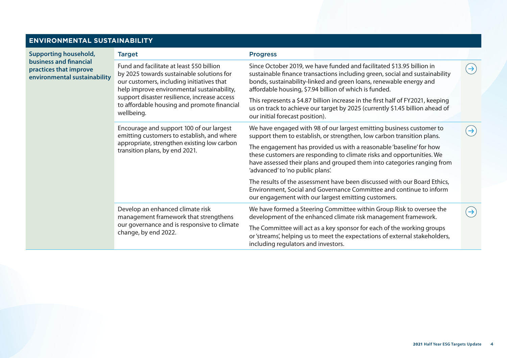# **ENVIRONMENTAL SUSTAINABILITY**

| <b>Supporting household,</b>                                                            | <b>Target</b>                                                                                                                                                                                                                                                                                  | <b>Progress</b>                                                                                                                                                                                                                                                                                                                                                                                                                                                                           |                 |
|-----------------------------------------------------------------------------------------|------------------------------------------------------------------------------------------------------------------------------------------------------------------------------------------------------------------------------------------------------------------------------------------------|-------------------------------------------------------------------------------------------------------------------------------------------------------------------------------------------------------------------------------------------------------------------------------------------------------------------------------------------------------------------------------------------------------------------------------------------------------------------------------------------|-----------------|
| <b>business and financial</b><br>practices that improve<br>environmental sustainability | Fund and facilitate at least \$50 billion<br>by 2025 towards sustainable solutions for<br>our customers, including initiatives that<br>help improve environmental sustainability,<br>support disaster resilience, increase access<br>to affordable housing and promote financial<br>wellbeing. | Since October 2019, we have funded and facilitated \$13.95 billion in<br>sustainable finance transactions including green, social and sustainability<br>bonds, sustainability-linked and green loans, renewable energy and<br>affordable housing, \$7.94 billion of which is funded.<br>This represents a \$4.87 billion increase in the first half of FY2021, keeping<br>us on track to achieve our target by 2025 (currently \$1.45 billion ahead of<br>our initial forecast position). | $(\rightarrow)$ |
|                                                                                         | Encourage and support 100 of our largest<br>emitting customers to establish, and where<br>appropriate, strengthen existing low carbon<br>transition plans, by end 2021.                                                                                                                        | We have engaged with 98 of our largest emitting business customer to<br>support them to establish, or strengthen, low carbon transition plans.<br>The engagement has provided us with a reasonable 'baseline' for how<br>these customers are responding to climate risks and opportunities. We<br>have assessed their plans and grouped them into categories ranging from<br>'advanced' to 'no public plans'.                                                                             | $\rightarrow$   |
|                                                                                         |                                                                                                                                                                                                                                                                                                | The results of the assessment have been discussed with our Board Ethics,<br>Environment, Social and Governance Committee and continue to inform<br>our engagement with our largest emitting customers.                                                                                                                                                                                                                                                                                    |                 |
|                                                                                         | Develop an enhanced climate risk<br>management framework that strengthens<br>our governance and is responsive to climate<br>change, by end 2022.                                                                                                                                               | We have formed a Steering Committee within Group Risk to oversee the<br>development of the enhanced climate risk management framework.                                                                                                                                                                                                                                                                                                                                                    | $(\rightarrow)$ |
|                                                                                         |                                                                                                                                                                                                                                                                                                | The Committee will act as a key sponsor for each of the working groups<br>or 'streams', helping us to meet the expectations of external stakeholders,<br>including regulators and investors.                                                                                                                                                                                                                                                                                              |                 |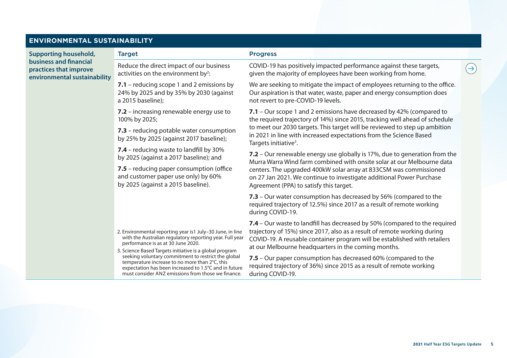# **ENVIRONMENTAL SU**

**Supporting household, business and financial practices that improve environmental sustainability** 

| JSTAINABILITY |                                                                                                                                                                                                                                                                                 |                                                                                                                                                                                                                                                                                            |  |
|---------------|---------------------------------------------------------------------------------------------------------------------------------------------------------------------------------------------------------------------------------------------------------------------------------|--------------------------------------------------------------------------------------------------------------------------------------------------------------------------------------------------------------------------------------------------------------------------------------------|--|
|               | <b>Target</b>                                                                                                                                                                                                                                                                   | <b>Progress</b>                                                                                                                                                                                                                                                                            |  |
| ility         | Reduce the direct impact of our business<br>activities on the environment by <sup>2</sup> :                                                                                                                                                                                     | COVID-19 has positively impacted performance against these targets,<br>given the majority of employees have been working from home.                                                                                                                                                        |  |
|               | 7.1 - reducing scope 1 and 2 emissions by<br>24% by 2025 and by 35% by 2030 (against<br>a 2015 baseline);                                                                                                                                                                       | We are seeking to mitigate the impact of employees returning to the office.<br>Our aspiration is that water, waste, paper and energy consumption does<br>not revert to pre-COVID-19 levels.                                                                                                |  |
|               | 7.2 – increasing renewable energy use to<br>100% by 2025;                                                                                                                                                                                                                       | 7.1 - Our scope 1 and 2 emissions have decreased by 42% (compared to<br>the required trajectory of 14%) since 2015, tracking well ahead of schedule                                                                                                                                        |  |
|               | 7.3 – reducing potable water consumption<br>by 25% by 2025 (against 2017 baseline);                                                                                                                                                                                             | to meet our 2030 targets. This target will be reviewed to step up ambition<br>in 2021 in line with increased expectations from the Science Based<br>Targets initiative <sup>3</sup> .                                                                                                      |  |
|               | 7.4 - reducing waste to landfill by 30%<br>by 2025 (against a 2017 baseline); and                                                                                                                                                                                               | 7.2 – Our renewable energy use globally is 17%, due to generation from the<br>Murra Warra Wind farm combined with onsite solar at our Melbourne data                                                                                                                                       |  |
|               | 7.5 - reducing paper consumption (office<br>and customer paper use only) by 60%<br>by 2025 (against a 2015 baseline).                                                                                                                                                           | centers. The upgraded 400kW solar array at 833CSM was commissioned<br>on 27 Jan 2021. We continue to investigate additional Power Purchase<br>Agreement (PPA) to satisfy this target.                                                                                                      |  |
|               |                                                                                                                                                                                                                                                                                 | 7.3 - Our water consumption has decreased by 56% (compared to the<br>required trajectory of 12.5%) since 2017 as a result of remote working<br>during COVID-19.                                                                                                                            |  |
|               | 2. Environmental reporting year is1 July-30 June, in line<br>with the Australian regulatory reporting year. Full year<br>performance is as at 30 June 2020.                                                                                                                     | 7.4 - Our waste to landfill has decreased by 50% (compared to the required<br>trajectory of 15%) since 2017, also as a result of remote working during<br>COVID-19. A reusable container program will be established with retailers<br>at our Melbourne headquarters in the coming months. |  |
|               | 3. Science Based Targets initiative is a global program<br>seeking voluntary commitment to restrict the global<br>temperature increase to no more than 2°C, this<br>expectation has been increased to 1.5°C and in future<br>must consider ANZ emissions from those we finance. | 7.5 - Our paper consumption has decreased 60% (compared to the<br>required trajectory of 36%) since 2015 as a result of remote working<br>during COVID-19.                                                                                                                                 |  |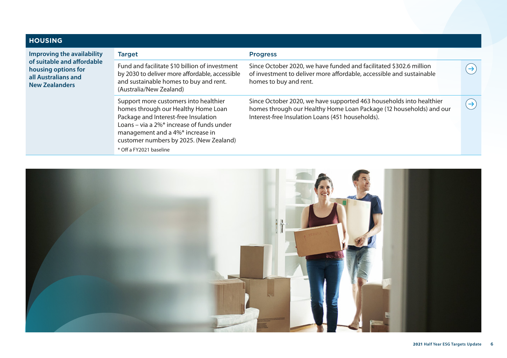| <b>HOUSING</b>                                                                                    |                                                                                                                                                                                                                                                                                 |                                                                                                                                                                                                |                   |  |
|---------------------------------------------------------------------------------------------------|---------------------------------------------------------------------------------------------------------------------------------------------------------------------------------------------------------------------------------------------------------------------------------|------------------------------------------------------------------------------------------------------------------------------------------------------------------------------------------------|-------------------|--|
| Improving the availability                                                                        | <b>Target</b>                                                                                                                                                                                                                                                                   | <b>Progress</b>                                                                                                                                                                                |                   |  |
| of suitable and affordable<br>housing options for<br>all Australians and<br><b>New Zealanders</b> | Fund and facilitate \$10 billion of investment<br>by 2030 to deliver more affordable, accessible<br>and sustainable homes to buy and rent.<br>(Australia/New Zealand)                                                                                                           | Since October 2020, we have funded and facilitated \$302.6 million<br>of investment to deliver more affordable, accessible and sustainable<br>homes to buy and rent.                           | $\rightarrow$     |  |
|                                                                                                   | Support more customers into healthier<br>homes through our Healthy Home Loan<br>Package and Interest-free Insulation<br>Loans – via a $2\%$ * increase of funds under<br>management and a 4%* increase in<br>customer numbers by 2025. (New Zealand)<br>* Off a FY2021 baseline | Since October 2020, we have supported 463 households into healthier<br>homes through our Healthy Home Loan Package (12 households) and our<br>Interest-free Insulation Loans (451 households). | $\leftrightarrow$ |  |

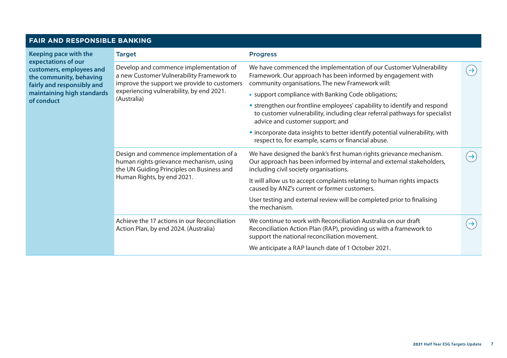## **FAIR AND RESPONSIBLE BANKING**

| Keeping pace with the                                                                                    | <b>Target</b>                                                                                                                                                                                 | <b>Progress</b>                                                                                                                                                                             |                |
|----------------------------------------------------------------------------------------------------------|-----------------------------------------------------------------------------------------------------------------------------------------------------------------------------------------------|---------------------------------------------------------------------------------------------------------------------------------------------------------------------------------------------|----------------|
| expectations of our<br>customers, employees and<br>the community, behaving<br>fairly and responsibly and | Develop and commence implementation of<br>a new Customer Vulnerability Framework to<br>improve the support we provide to customers<br>experiencing vulnerability, by end 2021.<br>(Australia) | We have commenced the implementation of our Customer Vulnerability<br>Framework. Our approach has been informed by engagement with<br>community organisations. The new Framework will:      | $\rightarrow$  |
| maintaining high standards                                                                               |                                                                                                                                                                                               | • support compliance with Banking Code obligations;                                                                                                                                         |                |
| of conduct                                                                                               |                                                                                                                                                                                               | • strengthen our frontline employees' capability to identify and respond<br>to customer vulnerability, including clear referral pathways for specialist<br>advice and customer support; and |                |
|                                                                                                          |                                                                                                                                                                                               | • incorporate data insights to better identify potential vulnerability, with<br>respect to, for example, scams or financial abuse.                                                          |                |
|                                                                                                          | Design and commence implementation of a<br>human rights grievance mechanism, using<br>the UN Guiding Principles on Business and                                                               | We have designed the bank's first human rights grievance mechanism.<br>Our approach has been informed by internal and external stakeholders,<br>including civil society organisations.      | $\rightarrow)$ |
|                                                                                                          | Human Rights, by end 2021.                                                                                                                                                                    | It will allow us to accept complaints relating to human rights impacts<br>caused by ANZ's current or former customers.                                                                      |                |
|                                                                                                          |                                                                                                                                                                                               | User testing and external review will be completed prior to finalising<br>the mechanism.                                                                                                    |                |
|                                                                                                          | Achieve the 17 actions in our Reconciliation<br>Action Plan, by end 2024. (Australia)                                                                                                         | We continue to work with Reconciliation Australia on our draft<br>Reconciliation Action Plan (RAP), providing us with a framework to<br>support the national reconciliation movement.       | $\rightarrow$  |
|                                                                                                          |                                                                                                                                                                                               | We anticipate a RAP launch date of 1 October 2021.                                                                                                                                          |                |